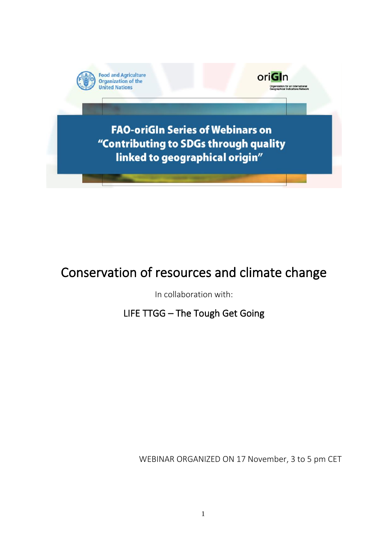

# Conservation of resources and climate change

In collaboration with:

LIFE TTGG – The Tough Get Going

WEBINAR ORGANIZED ON 17 November, 3 to 5 pm CET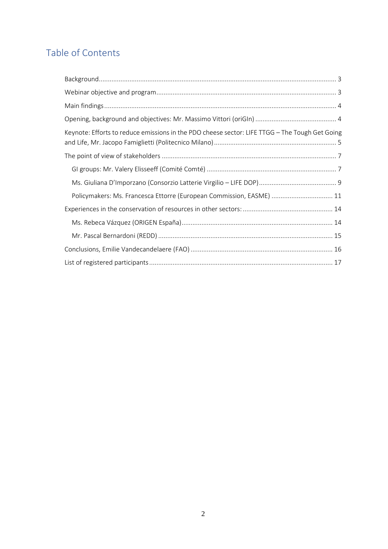# Table of Contents

| Keynote: Efforts to reduce emissions in the PDO cheese sector: LIFE TTGG - The Tough Get Going |
|------------------------------------------------------------------------------------------------|
|                                                                                                |
|                                                                                                |
|                                                                                                |
| Policymakers: Ms. Francesca Ettorre (European Commission, EASME)  11                           |
|                                                                                                |
|                                                                                                |
|                                                                                                |
|                                                                                                |
|                                                                                                |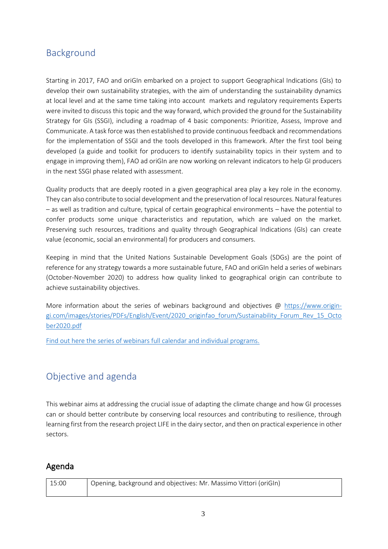## <span id="page-2-0"></span>Background

Starting in 2017, FAO and oriGIn embarked on a project to support Geographical Indications (GIs) to develop their own sustainability strategies, with the aim of understanding the sustainability dynamics at local level and at the same time taking into account markets and regulatory requirements Experts were invited to discuss this topic and the way forward, which provided the ground for the Sustainability Strategy for GIs (SSGI), including a roadmap of 4 basic components: Prioritize, Assess, Improve and Communicate. A task force was then established to provide continuous feedback and recommendations for the implementation of SSGI and the tools developed in this framework. After the first tool being developed (a guide and toolkit for producers to identify sustainability topics in their system and to engage in improving them), FAO ad oriGIn are now working on relevant indicators to help GI producers in the next SSGI phase related with assessment.

Quality products that are deeply rooted in a given geographical area play a key role in the economy. They can also contribute to social development and the preservation of local resources. Natural features – as well as tradition and culture, typical of certain geographical environments – have the potential to confer products some unique characteristics and reputation, which are valued on the market. Preserving such resources, traditions and quality through Geographical Indications (GIs) can create value (economic, social an environmental) for producers and consumers.

Keeping in mind that the United Nations Sustainable Development Goals (SDGs) are the point of reference for any strategy towards a more sustainable future, FAO and oriGIn held a series of webinars (October-November 2020) to address how quality linked to geographical origin can contribute to achieve sustainability objectives.

More information about the series of webinars background and objectives @ [https://www.origin](https://www.origin-gi.com/images/stories/PDFs/English/Event/2020_originfao_forum/Sustainability_Forum_Rev_15_October2020.pdf)[gi.com/images/stories/PDFs/English/Event/2020\\_originfao\\_forum/Sustainability\\_Forum\\_Rev\\_15\\_Octo](https://www.origin-gi.com/images/stories/PDFs/English/Event/2020_originfao_forum/Sustainability_Forum_Rev_15_October2020.pdf) [ber2020.pdf](https://www.origin-gi.com/images/stories/PDFs/English/Event/2020_originfao_forum/Sustainability_Forum_Rev_15_October2020.pdf)

[Find out here the series of webinars full calendar and individual programs.](https://www.origin-gi.com/content-page/item/15338-individual-webinars-programs.html)

## <span id="page-2-1"></span>Objective and agenda

This webinar aims at addressing the crucial issue of adapting the climate change and how GI processes can or should better contribute by conserving local resources and contributing to resilience, through learning first from the research project LIFE in the dairy sector, and then on practical experience in other sectors.

## Agenda

| 15:00 | Opening, background and objectives: Mr. Massimo Vittori (oriGIn) |
|-------|------------------------------------------------------------------|
|       |                                                                  |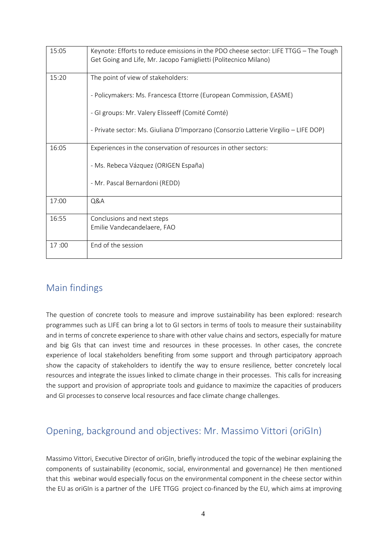| 15:05 | Keynote: Efforts to reduce emissions in the PDO cheese sector: LIFE TTGG - The Tough<br>Get Going and Life, Mr. Jacopo Famiglietti (Politecnico Milano) |
|-------|---------------------------------------------------------------------------------------------------------------------------------------------------------|
| 15:20 | The point of view of stakeholders:                                                                                                                      |
|       | - Policymakers: Ms. Francesca Ettorre (European Commission, EASME)                                                                                      |
|       | - GI groups: Mr. Valery Elisseeff (Comité Comté)                                                                                                        |
|       | - Private sector: Ms. Giuliana D'Imporzano (Consorzio Latterie Virgilio – LIFE DOP)                                                                     |
| 16:05 | Experiences in the conservation of resources in other sectors:                                                                                          |
|       | - Ms. Rebeca Vázquez (ORIGEN España)                                                                                                                    |
|       | - Mr. Pascal Bernardoni (REDD)                                                                                                                          |
| 17:00 | Q&A                                                                                                                                                     |
| 16:55 | Conclusions and next steps<br>Emilie Vandecandelaere, FAO                                                                                               |
|       |                                                                                                                                                         |
| 17:00 | End of the session                                                                                                                                      |

## <span id="page-3-0"></span>Main findings

The question of concrete tools to measure and improve sustainability has been explored: research programmes such as LIFE can bring a lot to GI sectors in terms of tools to measure their sustainability and in terms of concrete experience to share with other value chains and sectors, especially for mature and big GIs that can invest time and resources in these processes. In other cases, the concrete experience of local stakeholders benefiting from some support and through participatory approach show the capacity of stakeholders to identify the way to ensure resilience, better concretely local resources and integrate the issues linked to climate change in their processes. This calls for increasing the support and provision of appropriate tools and guidance to maximize the capacities of producers and GI processes to conserve local resources and face climate change challenges.

# <span id="page-3-1"></span>Opening, background and objectives: Mr. Massimo Vittori (oriGIn)

Massimo Vittori, Executive Director of oriGIn, briefly introduced the topic of the webinar explaining the components of sustainability (economic, social, environmental and governance) He then mentioned that this webinar would especially focus on the environmental component in the cheese sector within the EU as oriGIn is a partner of the LIFE TTGG project co-financed by the EU, which aims at improving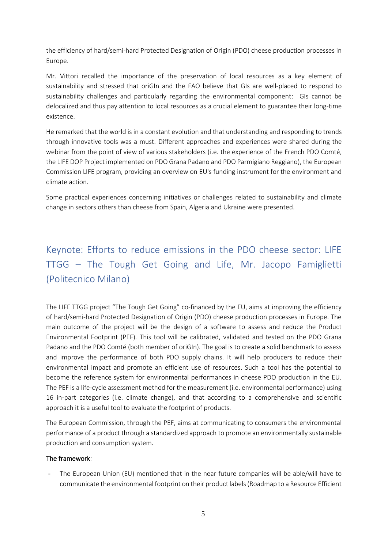the efficiency of hard/semi-hard Protected Designation of Origin (PDO) cheese production processes in Europe.

Mr. Vittori recalled the importance of the preservation of local resources as a key element of sustainability and stressed that oriGIn and the FAO believe that GIs are well-placed to respond to sustainability challenges and particularly regarding the environmental component: GIs cannot be delocalized and thus pay attention to local resources as a crucial element to guarantee their long-time existence.

He remarked that the world is in a constant evolution and that understanding and responding to trends through innovative tools was a must. Different approaches and experiences were shared during the webinar from the point of view of various stakeholders (i.e. the experience of the French PDO Comté, the LIFE DOP Project implemented on PDO Grana Padano and PDO Parmigiano Reggiano), the European Commission LIFE program, providing an overview on EU's funding instrument for the environment and climate action.

<span id="page-4-0"></span>Some practical experiences concerning initiatives or challenges related to sustainability and climate change in sectors others than cheese from Spain, Algeria and Ukraine were presented.

# Keynote: Efforts to reduce emissions in the PDO cheese sector: LIFE TTGG – The Tough Get Going and Life, Mr. Jacopo Famiglietti (Politecnico Milano)

The LIFE TTGG project "The Tough Get Going" co-financed by the EU, aims at improving the efficiency of hard/semi-hard Protected Designation of Origin (PDO) cheese production processes in Europe. The main outcome of the project will be the design of a software to assess and reduce the Product Environmental Footprint (PEF). This tool will be calibrated, validated and tested on the PDO Grana Padano and the PDO Comté (both member of oriGIn). The goal is to create a solid benchmark to assess and improve the performance of both PDO supply chains. It will help producers to reduce their environmental impact and promote an efficient use of resources. Such a tool has the potential to become the reference system for environmental performances in cheese PDO production in the EU. The PEF is a life-cycle assessment method for the measurement (i.e. environmental performance) using 16 in-part categories (i.e. climate change), and that according to a comprehensive and scientific approach it is a useful tool to evaluate the footprint of products.

The European Commission, through the PEF, aims at communicating to consumers the environmental performance of a product through a standardized approach to promote an environmentally sustainable production and consumption system.

### The framework:

The European Union (EU) mentioned that in the near future companies will be able/will have to communicate the environmental footprint on their product labels (Roadmap to a Resource Efficient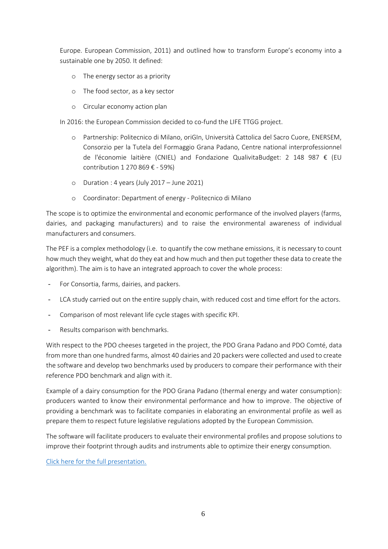Europe. European Commission, 2011) and outlined how to transform Europe's economy into a sustainable one by 2050. It defined:

- o The energy sector as a priority
- o The food sector, as a key sector
- o Circular economy action plan

In 2016: the European Commission decided to co-fund the LIFE TTGG project.

- o Partnership: Politecnico di Milano, oriGIn, Università Cattolica del Sacro Cuore, ENERSEM, Consorzio per la Tutela del Formaggio Grana Padano, Centre national interprofessionnel de l'économie laitière (CNIEL) and Fondazione QualivitaBudget: 2 148 987 € (EU contribution 1 270 869 € - 59%)
- o Duration : 4 years (July 2017 June 2021)
- o Coordinator: Department of energy Politecnico di Milano

The scope is to optimize the environmental and economic performance of the involved players (farms, dairies, and packaging manufacturers) and to raise the environmental awareness of individual manufacturers and consumers.

The PEF is a complex methodology (i.e. to quantify the cow methane emissions, it is necessary to count how much they weight, what do they eat and how much and then put together these data to create the algorithm). The aim is to have an integrated approach to cover the whole process:

- For Consortia, farms, dairies, and packers.
- LCA study carried out on the entire supply chain, with reduced cost and time effort for the actors.
- Comparison of most relevant life cycle stages with specific KPI.
- Results comparison with benchmarks.

With respect to the PDO cheeses targeted in the project, the PDO Grana Padano and PDO Comté, data from more than one hundred farms, almost 40 dairies and 20 packers were collected and used to create the software and develop two benchmarks used by producers to compare their performance with their reference PDO benchmark and align with it.

Example of a dairy consumption for the PDO Grana Padano (thermal energy and water consumption): producers wanted to know their environmental performance and how to improve. The objective of providing a benchmark was to facilitate companies in elaborating an environmental profile as well as prepare them to respect future legislative regulations adopted by the European Commission.

The software will facilitate producers to evaluate their environmental profiles and propose solutions to improve their footprint through audits and instruments able to optimize their energy consumption.

[Click here for the full presentation.](https://www.origin-gi.com/images/stories/PDFs/English/PPT/oriGIn-FAO_Series_of_webinars_2020-PPT/JFamiglietti_201117-_final_final.pdf)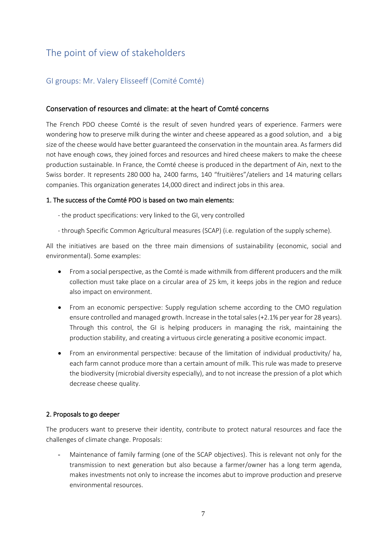# <span id="page-6-0"></span>The point of view of stakeholders

### <span id="page-6-1"></span>GI groups: Mr. Valery Elisseeff (Comité Comté)

### Conservation of resources and climate: at the heart of Comté concerns

The French PDO cheese Comté is the result of seven hundred years of experience. Farmers were wondering how to preserve milk during the winter and cheese appeared as a good solution, and a big size of the cheese would have better guaranteed the conservation in the mountain area. As farmers did not have enough cows, they joined forces and resources and hired cheese makers to make the cheese production sustainable. In France, the Comté cheese is produced in the department of Ain, next to the Swiss border. It represents 280 000 ha, 2400 farms, 140 "fruitières"/ateliers and 14 maturing cellars companies. This organization generates 14,000 direct and indirect jobs in this area.

### 1. The success of the Comté PDO is based on two main elements:

- the product specifications: very linked to the GI, very controlled
- through Specific Common Agricultural measures (SCAP) (i.e. regulation of the supply scheme).

All the initiatives are based on the three main dimensions of sustainability (economic, social and environmental). Some examples:

- From a social perspective, as the Comté is made withmilk from different producers and the milk collection must take place on a circular area of 25 km, it keeps jobs in the region and reduce also impact on environment.
- From an economic perspective: Supply regulation scheme according to the CMO regulation ensure controlled and managed growth. Increase in the total sales (+2.1% per year for 28 years). Through this control, the GI is helping producers in managing the risk, maintaining the production stability, and creating a virtuous circle generating a positive economic impact.
- From an environmental perspective: because of the limitation of individual productivity/ ha, each farm cannot produce more than a certain amount of milk. This rule was made to preserve the biodiversity (microbial diversity especially), and to not increase the pression of a plot which decrease cheese quality.

### 2. Proposals to go deeper

The producers want to preserve their identity, contribute to protect natural resources and face the challenges of climate change. Proposals:

- Maintenance of family farming (one of the SCAP objectives). This is relevant not only for the transmission to next generation but also because a farmer/owner has a long term agenda, makes investments not only to increase the incomes abut to improve production and preserve environmental resources.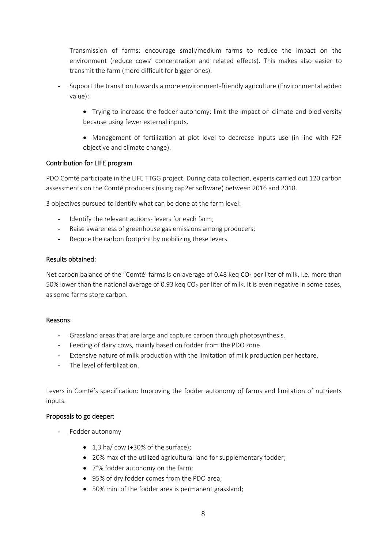Transmission of farms: encourage small/medium farms to reduce the impact on the environment (reduce cows' concentration and related effects). This makes also easier to transmit the farm (more difficult for bigger ones).

- Support the transition towards a more environment-friendly agriculture (Environmental added value):
	- Trying to increase the fodder autonomy: limit the impact on climate and biodiversity because using fewer external inputs.
	- Management of fertilization at plot level to decrease inputs use (in line with F2F objective and climate change).

### Contribution for LIFE program

PDO Comté participate in the LIFE TTGG project. During data collection, experts carried out 120 carbon assessments on the Comté producers (using cap2er software) between 2016 and 2018.

3 objectives pursued to identify what can be done at the farm level:

- Identify the relevant actions- levers for each farm;
- Raise awareness of greenhouse gas emissions among producers;
- Reduce the carbon footprint by mobilizing these levers.

### Results obtained:

Net carbon balance of the "Comté' farms is on average of 0.48 keq CO<sub>2</sub> per liter of milk, i.e. more than 50% lower than the national average of 0.93 keq  $CO<sub>2</sub>$  per liter of milk. It is even negative in some cases, as some farms store carbon.

### Reasons:

- Grassland areas that are large and capture carbon through photosynthesis.
- Feeding of dairy cows, mainly based on fodder from the PDO zone.
- Extensive nature of milk production with the limitation of milk production per hectare.
- The level of fertilization.

Levers in Comté's specification: Improving the fodder autonomy of farms and limitation of nutrients inputs.

### Proposals to go deeper:

- Fodder autonomy
	- 1.3 ha/ cow (+30% of the surface):
	- 20% max of the utilized agricultural land for supplementary fodder;
	- 7°% fodder autonomy on the farm;
	- 95% of dry fodder comes from the PDO area;
	- 50% mini of the fodder area is permanent grassland;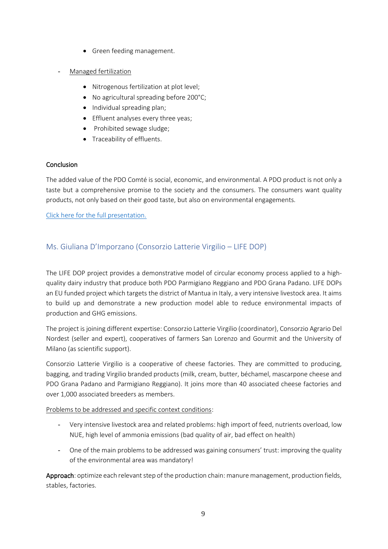- Green feeding management.
- Managed fertilization
	- Nitrogenous fertilization at plot level;
	- No agricultural spreading before 200°C;
	- Individual spreading plan;
	- Effluent analyses every three yeas;
	- Prohibited sewage sludge;
	- Traceability of effluents.

### **Conclusion**

The added value of the PDO Comté is social, economic, and environmental. A PDO product is not only a taste but a comprehensive promise to the society and the consumers. The consumers want quality products, not only based on their good taste, but also on environmental engagements.

[Click here for the full presentation.](https://www.origin-gi.com/images/stories/PDFs/English/PPT/oriGIn-FAO_Series_of_webinars_2020-PPT/201109_oriGIn_1-_Valery_final_presentation-_Review.pdf)

### <span id="page-8-0"></span>Ms. Giuliana D'Imporzano (Consorzio Latterie Virgilio – LIFE DOP)

The LIFE DOP project provides a demonstrative model of circular economy process applied to a highquality dairy industry that produce both PDO Parmigiano Reggiano and PDO Grana Padano. LIFE DOPs an EU funded project which targets the district of Mantua in Italy, a very intensive livestock area. It aims to build up and demonstrate a new production model able to reduce environmental impacts of production and GHG emissions.

The project is joining different expertise: Consorzio Latterie Virgilio (coordinator), Consorzio Agrario Del Nordest (seller and expert), cooperatives of farmers San Lorenzo and Gourmit and the University of Milano (as scientific support).

Consorzio Latterie Virgilio is a cooperative of cheese factories. They are committed to producing, bagging, and trading Virgilio branded products (milk, cream, butter, béchamel, mascarpone cheese and PDO Grana Padano and Parmigiano Reggiano). It joins more than 40 associated cheese factories and over 1,000 associated breeders as members.

### Problems to be addressed and specific context conditions:

- Very intensive livestock area and related problems: high import of feed, nutrients overload, low NUE, high level of ammonia emissions (bad quality of air, bad effect on health)
- One of the main problems to be addressed was gaining consumers' trust: improving the quality of the environmental area was mandatory!

Approach: optimize each relevant step of the production chain: manure management, production fields, stables, factories.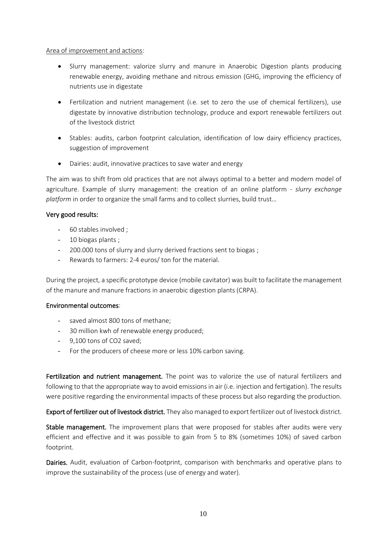### Area of improvement and actions:

- Slurry management: valorize slurry and manure in Anaerobic Digestion plants producing renewable energy, avoiding methane and nitrous emission (GHG, improving the efficiency of nutrients use in digestate
- Fertilization and nutrient management (i.e. set to zero the use of chemical fertilizers), use digestate by innovative distribution technology, produce and export renewable fertilizers out of the livestock district
- Stables: audits, carbon footprint calculation, identification of low dairy efficiency practices, suggestion of improvement
- Dairies: audit, innovative practices to save water and energy

The aim was to shift from old practices that are not always optimal to a better and modern model of agriculture. Example of slurry management: the creation of an online platform - *slurry exchange platform* in order to organize the small farms and to collect slurries, build trust…

### Very good results:

- 60 stables involved ;
- 10 biogas plants ;
- 200.000 tons of slurry and slurry derived fractions sent to biogas;
- Rewards to farmers: 2-4 euros/ ton for the material.

During the project, a specific prototype device (mobile cavitator) was built to facilitate the management of the manure and manure fractions in anaerobic digestion plants (CRPA).

### Environmental outcomes:

- saved almost 800 tons of methane;
- 30 million kwh of renewable energy produced;
- 9,100 tons of CO2 saved;
- For the producers of cheese more or less 10% carbon saving.

Fertilization and nutrient management. The point was to valorize the use of natural fertilizers and following to that the appropriate way to avoid emissions in air (i.e. injection and fertigation). The results were positive regarding the environmental impacts of these process but also regarding the production.

Export of fertilizer out of livestock district. They also managed to export fertilizer out of livestock district.

Stable management. The improvement plans that were proposed for stables after audits were very efficient and effective and it was possible to gain from 5 to 8% (sometimes 10%) of saved carbon footprint.

Dairies. Audit, evaluation of Carbon-footprint, comparison with benchmarks and operative plans to improve the sustainability of the process (use of energy and water).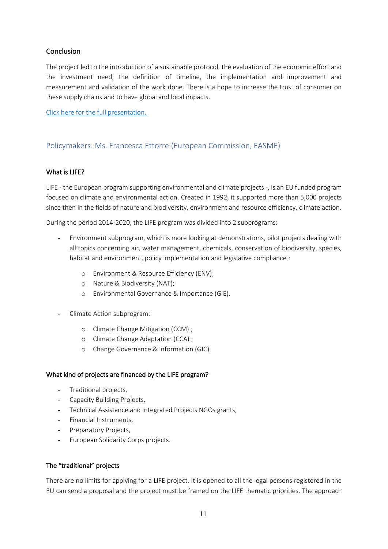### **Conclusion**

The project led to the introduction of a sustainable protocol, the evaluation of the economic effort and the investment need, the definition of timeline, the implementation and improvement and measurement and validation of the work done. There is a hope to increase the trust of consumer on these supply chains and to have global and local impacts.

[Click here for the full presentation.](https://www.origin-gi.com/images/stories/PDFs/English/PPT/oriGIn-FAO_Series_of_webinars_2020-PPT/Giuliana_DImporzano_1.pdf)

### <span id="page-10-0"></span>Policymakers: Ms. Francesca Ettorre (European Commission, EASME)

### What is LIFE?

LIFE - the European program supporting environmental and climate projects -, is an EU funded program focused on climate and environmental action. Created in 1992, it supported more than 5,000 projects since then in the fields of nature and biodiversity, environment and resource efficiency, climate action.

During the period 2014-2020, the LIFE program was divided into 2 subprograms:

- Environment subprogram, which is more looking at demonstrations, pilot projects dealing with all topics concerning air, water management, chemicals, conservation of biodiversity, species, habitat and environment, policy implementation and legislative compliance :
	- o Environment & Resource Efficiency (ENV);
	- o Nature & Biodiversity (NAT);
	- o Environmental Governance & Importance (GIE).
- Climate Action subprogram:
	- o Climate Change Mitigation (CCM) ;
	- o Climate Change Adaptation (CCA) ;
	- o Change Governance & Information (GIC).

### What kind of projects are financed by the LIFE program?

- Traditional projects,
- Capacity Building Projects,
- Technical Assistance and Integrated Projects NGOs grants,
- Financial Instruments,
- Preparatory Projects,
- European Solidarity Corps projects.

### The "traditional" projects

There are no limits for applying for a LIFE project. It is opened to all the legal persons registered in the EU can send a proposal and the project must be framed on the LIFE thematic priorities. The approach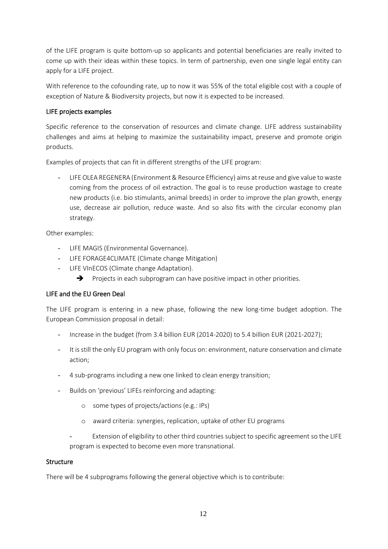of the LIFE program is quite bottom-up so applicants and potential beneficiaries are really invited to come up with their ideas within these topics. In term of partnership, even one single legal entity can apply for a LIFE project.

With reference to the cofounding rate, up to now it was 55% of the total eligible cost with a couple of exception of Nature & Biodiversity projects, but now it is expected to be increased.

### LIFE projects examples

Specific reference to the conservation of resources and climate change. LIFE address sustainability challenges and aims at helping to maximize the sustainability impact, preserve and promote origin products.

Examples of projects that can fit in different strengths of the LIFE program:

- LIFE OLEA REGENERA (Environment & Resource Efficiency) aims at reuse and give value to waste coming from the process of oil extraction. The goal is to reuse production wastage to create new products (i.e. bio stimulants, animal breeds) in order to improve the plan growth, energy use, decrease air pollution, reduce waste. And so also fits with the circular economy plan strategy.

Other examples:

- LIFE MAGIS (Environmental Governance).
- LIFE FORAGE4CLIMATE (Climate change Mitigation)
- LIFE VInECOS (Climate change Adaptation).
	- ➔ Projects in each subprogram can have positive impact in other priorities.

### LIFE and the EU Green Deal

The LIFE program is entering in a new phase, following the new long-time budget adoption. The European Commission proposal in detail:

- Increase in the budget (from 3.4 billion EUR (2014-2020) to 5.4 billion EUR (2021-2027);
- It is still the only EU program with only focus on: environment, nature conservation and climate action;
- 4 sub-programs including a new one linked to clean energy transition;
- Builds on 'previous' LIFEs reinforcing and adapting:
	- o some types of projects/actions (e.g.: IPs)
	- o award criteria: synergies, replication, uptake of other EU programs
	- Extension of eligibility to other third countries subject to specific agreement so the LIFE program is expected to become even more transnational.

### Structure

There will be 4 subprograms following the general objective which is to contribute: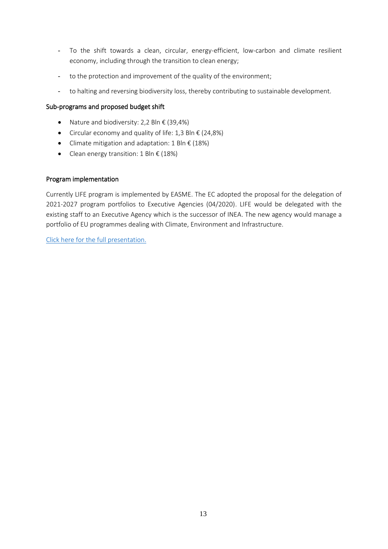- To the shift towards a clean, circular, energy-efficient, low-carbon and climate resilient economy, including through the transition to clean energy;
- to the protection and improvement of the quality of the environment;
- to halting and reversing biodiversity loss, thereby contributing to sustainable development.

### Sub-programs and proposed budget shift

- Nature and biodiversity: 2,2 Bln  $\epsilon$  (39,4%)
- Circular economy and quality of life: 1,3 Bln  $\epsilon$  (24,8%)
- Climate mitigation and adaptation: 1 Bln € (18%)
- Clean energy transition: 1 Bln  $\epsilon$  (18%)

### Program implementation

Currently LIFE program is implemented by EASME. The EC adopted the proposal for the delegation of 2021-2027 program portfolios to Executive Agencies (04/2020). LIFE would be delegated with the existing staff to an Executive Agency which is the successor of INEA. The new agency would manage a portfolio of EU programmes dealing with Climate, Environment and Infrastructure.

[Click here for the full presentation.](https://www.origin-gi.com/images/stories/PDFs/English/PPT/oriGIn-FAO_Series_of_webinars_2020-PPT/Ettorre_LIFE_Programme_FAO-OriGIn_webinar_17112020_final.pdf)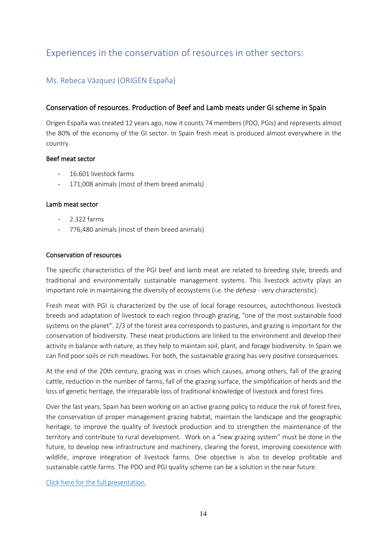# <span id="page-13-1"></span><span id="page-13-0"></span>Experiences in the conservation of resources in other sectors:

### Ms. Rebeca Vázquez (ORIGEN España)

### Conservation of resources. Production of Beef and Lamb meats under GI scheme in Spain

Origen España was created 12 years ago, now it counts 74 members (PDO, PGIs) and represents almost the 80% of the economy of the GI sector. In Spain fresh meat is produced almost everywhere in the country.

### Beef meat sector

- 16.601 livestock farms
- 171,008 animals (most of them breed animals)

### Lamb meat sector

- 2.322 farms
- 776,480 animals (most of them breed animals)

### Conservation of resources

The specific characteristics of the PGI beef and lamb meat are related to breeding style, breeds and traditional and environmentally sustainable management systems. This livestock activity plays an important role in maintaining the diversity of ecosystems (i.e. the *dehesa* - very characteristic).

Fresh meat with PGI is characterized by the use of local forage resources, autochthonous livestock breeds and adaptation of livestock to each region through grazing, "one of the most sustainable food systems on the planet". 2/3 of the forest area corresponds to pastures, and grazing is important for the conservation of biodiversity. These meat productions are linked to the environment and develop their activity in balance with nature, as they help to maintain soil, plant, and forage biodiversity. In Spain we can find poor soils or rich meadows. For both, the sustainable grazing has very positive consequences.

At the end of the 20th century, grazing was in crises which causes, among others, fall of the grazing cattle, reduction in the number of farms, fall of the grazing surface, the simplification of herds and the loss of genetic heritage, the irreparable loss of traditional knowledge of livestock and forest fires.

Over the last years, Spain has been working on an active grazing policy to reduce the risk of forest fires, the conservation of proper management grazing habitat, maintain the landscape and the geographic heritage, to improve the quality of livestock production and to strengthen the maintenance of the territory and contribute to rural development. Work on a "new grazing system" must be done in the future, to develop new infrastructure and machinery, clearing the forest, improving coexistence with wildlife, improve integration of livestock farms. One objective is also to develop profitable and sustainable cattle farms. The PDO and PGI quality scheme can be a solution in the near future.

[Click here for the full presentation.](https://www.origin-gi.com/images/stories/PDFs/English/PPT/oriGIn-FAO_Series_of_webinars_2020-PPT/RebeccaVazquez-YDRAY-Presentaci%C3%B3n-OE-Conservation-of-resources-and-climate-change-nov2020_1.pdf)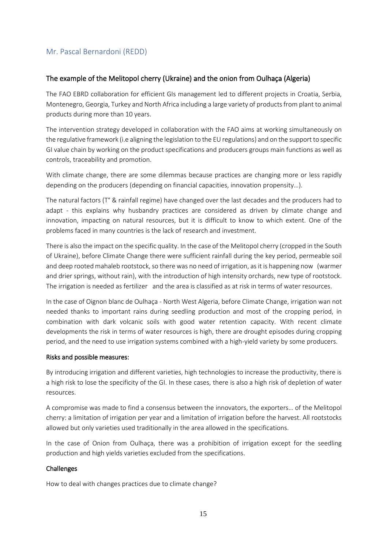### <span id="page-14-0"></span>Mr. [Pascal Bernardoni \(REDD\)](https://www.origin-gi.com/images/stories/PDFs/English/PPT/oriGIn-FAO_Series_of_webinars_2020-PPT/Bernardoni_Experiences_in_the_conservation_of_resources_in_other_sectors_1.pdf)

### The example of the Melitopol cherry (Ukraine) and the onion from Oulhaça (Algeria)

The FAO EBRD collaboration for efficient GIs management led to different projects in Croatia, Serbia, Montenegro, Georgia, Turkey and North Africa including a large variety of products from plant to animal products during more than 10 years.

The intervention strategy developed in collaboration with the FAO aims at working simultaneously on the regulative framework (i.e aligning the legislation to the EU regulations) and on the support to specific GI value chain by working on the product specifications and producers groups main functions as well as controls, traceability and promotion.

With climate change, there are some dilemmas because practices are changing more or less rapidly depending on the producers (depending on financial capacities, innovation propensity…).

The natural factors (T° & rainfall regime) have changed over the last decades and the producers had to adapt - this explains why husbandry practices are considered as driven by climate change and innovation, impacting on natural resources, but it is difficult to know to which extent. One of the problems faced in many countries is the lack of research and investment.

There is also the impact on the specific quality. In the case of the Melitopol cherry (cropped in the South of Ukraine), before Climate Change there were sufficient rainfall during the key period, permeable soil and deep rooted mahaleb rootstock, so there was no need of irrigation, as it is happening now (warmer and drier springs, without rain), with the introduction of high intensity orchards, new type of rootstock. The irrigation is needed as fertilizer and the area is classified as at risk in terms of water resources.

In the case of Oignon blanc de Oulhaça - North West Algeria, before Climate Change, irrigation wan not needed thanks to important rains during seedling production and most of the cropping period, in combination with dark volcanic soils with good water retention capacity. With recent climate developments the risk in terms of water resources is high, there are drought episodes during cropping period, and the need to use irrigation systems combined with a high-yield variety by some producers.

### Risks and possible measures:

By introducing irrigation and different varieties, high technologies to increase the productivity, there is a high risk to lose the specificity of the GI. In these cases, there is also a high risk of depletion of water resources.

A compromise was made to find a consensus between the innovators, the exporters… of the Melitopol cherry: a limitation of irrigation per year and a limitation of irrigation before the harvest. All rootstocks allowed but only varieties used traditionally in the area allowed in the specifications.

In the case of Onion from Oulhaça, there was a prohibition of irrigation except for the seedling production and high yields varieties excluded from the specifications.

### Challenges

How to deal with changes practices due to climate change?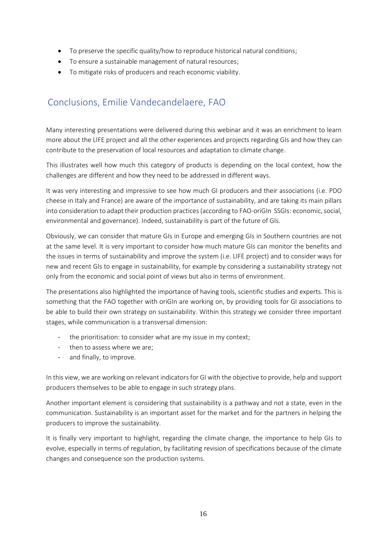- To preserve the specific quality/how to reproduce historical natural conditions;
- To ensure a sustainable management of natural resources;
- To mitigate risks of producers and reach economic viability.

# <span id="page-15-0"></span>Conclusions, Emilie Vandecandelaere, FAO

Many interesting presentations were delivered during this webinar and it was an enrichment to learn more about the LIFE project and all the other experiences and projects regarding GIs and how they can contribute to the preservation of local resources and adaptation to climate change.

This illustrates well how much this category of products is depending on the local context, how the challenges are different and how they need to be addressed in different ways.

It was very interesting and impressive to see how much GI producers and their associations (i.e. PDO cheese in Italy and France) are aware of the importance of sustainability, and are taking its main pillars into consideration to adapt their production practices(according to FAO-oriGIn SSGIs: economic, social, environmental and governance). Indeed, sustainability is part of the future of GIs.

Obviously, we can consider that mature GIs in Europe and emerging GIs in Southern countries are not at the same level. It is very important to consider how much mature GIs can monitor the benefits and the issues in terms of sustainability and improve the system (i.e. LIFE project) and to consider ways for new and recent GIs to engage in sustainability, for example by considering a sustainability strategy not only from the economic and social point of views but also in terms of environment.

The presentations also highlighted the importance of having tools, scientific studies and experts. This is something that the FAO together with oriGIn are working on, by providing tools for GI associations to be able to build their own strategy on sustainability. Within this strategy we consider three important stages, while communication is a transversal dimension:

- the prioritisation: to consider what are my issue in my context;
- then to assess where we are;
- and finally, to improve.

In this view, we are working on relevant indicators for GI with the objective to provide, help and support producers themselves to be able to engage in such strategy plans.

Another important element is considering that sustainability is a pathway and not a state, even in the communication. Sustainability is an important asset for the market and for the partners in helping the producers to improve the sustainability.

It is finally very important to highlight, regarding the climate change, the importance to help GIs to evolve, especially in terms of regulation, by facilitating revision of specifications because of the climate changes and consequence son the production systems.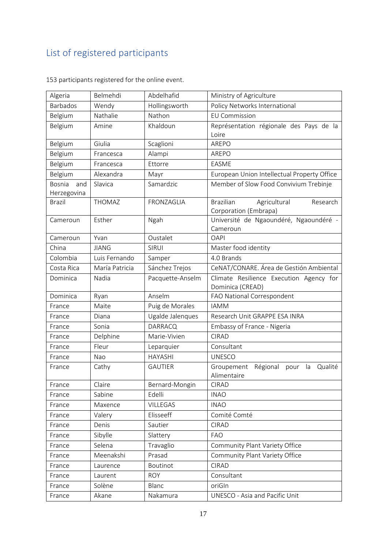# <span id="page-16-0"></span>List of registered participants

| Algeria                             | Belmehdi       | Abdelhafid       | Ministry of Agriculture                                               |
|-------------------------------------|----------------|------------------|-----------------------------------------------------------------------|
| <b>Barbados</b>                     | Wendy          | Hollingsworth    | Policy Networks International                                         |
| Belgium                             | Nathalie       | Nathon           | <b>EU Commission</b>                                                  |
| Belgium                             | Amine          | Khaldoun         | Représentation régionale des Pays de la<br>Loire                      |
| Belgium                             | Giulia         | Scaglioni        | AREPO                                                                 |
| Belgium                             | Francesca      | Alampi           | AREPO                                                                 |
| Belgium                             | Francesca      | Ettorre          | <b>EASME</b>                                                          |
| Belgium                             | Alexandra      | Mayr             | European Union Intellectual Property Office                           |
| <b>Bosnia</b><br>and<br>Herzegovina | Slavica        | Samardzic        | Member of Slow Food Convivium Trebinje                                |
| <b>Brazil</b>                       | <b>THOMAZ</b>  | FRONZAGLIA       | <b>Brazilian</b><br>Agricultural<br>Research<br>Corporation (Embrapa) |
| Cameroun                            | Esther         | Ngah             | Université de Ngaoundéré, Ngaoundéré -<br>Cameroun                    |
| Cameroun                            | Yvan           | Oustalet         | <b>OAPI</b>                                                           |
| China                               | <b>JIANG</b>   | <b>SIRUI</b>     | Master food identity                                                  |
| Colombia                            | Luis Fernando  | Samper           | 4.0 Brands                                                            |
| Costa Rica                          | María Patricia | Sánchez Trejos   | CeNAT/CONARE. Área de Gestión Ambiental                               |
| Dominica                            | Nadia          | Pacquette-Anselm | Climate Resilience Execution Agency for<br>Dominica (CREAD)           |
| Dominica                            | Ryan           | Anselm           | FAO National Correspondent                                            |
| France                              | Maite          | Puig de Morales  | <b>IAMM</b>                                                           |
| France                              | Diana          | Ugalde Jalenques | Research Unit GRAPPE ESA INRA                                         |
| France                              | Sonia          | <b>DARRACQ</b>   | Embassy of France - Nigeria                                           |
| France                              | Delphine       | Marie-Vivien     | <b>CIRAD</b>                                                          |
| France                              | Fleur          | Leparquier       | Consultant                                                            |
| France                              | Nao            | <b>HAYASHI</b>   | <b>UNESCO</b>                                                         |
| France                              | Cathy          | <b>GAUTIER</b>   | Qualité<br>Groupement<br>Régional<br>pour<br>la<br>Alimentaire        |
| France                              | Claire         | Bernard-Mongin   | <b>CIRAD</b>                                                          |
| France                              | Sabine         | Edelli           | <b>INAO</b>                                                           |
| France                              | Maxence        | <b>VILLEGAS</b>  | <b>INAO</b>                                                           |
| France                              | Valery         | Elisseeff        | Comité Comté                                                          |
| France                              | Denis          | Sautier          | <b>CIRAD</b>                                                          |
| France                              | Sibylle        | Slattery         | <b>FAO</b>                                                            |
| France                              | Selena         | Travaglio        | Community Plant Variety Office                                        |
| France                              | Meenakshi      | Prasad           | Community Plant Variety Office                                        |
| France                              | Laurence       | Boutinot         | <b>CIRAD</b>                                                          |
| France                              | Laurent        | <b>ROY</b>       | Consultant                                                            |
| France                              | Solène         | Blanc            | oriGIn                                                                |
| France                              | Akane          | Nakamura         | UNESCO - Asia and Pacific Unit                                        |

153 participants registered for the online event.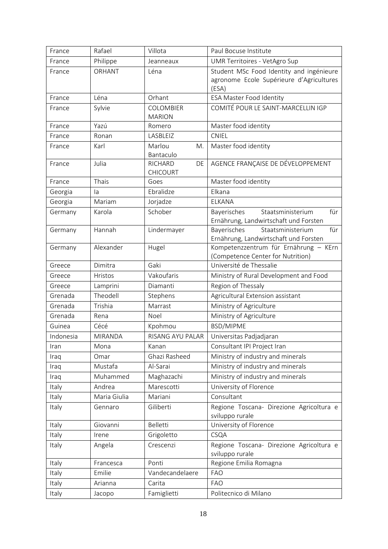| France    | Rafael         | Villota                   | Paul Bocuse Institute                                                      |
|-----------|----------------|---------------------------|----------------------------------------------------------------------------|
| France    | Philippe       | Jeanneaux                 | UMR Territoires - VetAgro Sup                                              |
| France    | ORHANT         | Léna                      | Student MSc Food Identity and ingénieure                                   |
|           |                |                           | agronome Ecole Supérieure d'Agricultures<br>(ESA)                          |
| France    | Léna           | Orhant                    | <b>ESA Master Food Identity</b>                                            |
| France    | Sylvie         | COLOMBIER                 | COMITÉ POUR LE SAINT-MARCELLIN IGP                                         |
|           |                | <b>MARION</b>             |                                                                            |
| France    | Yazú           | Romero                    | Master food identity                                                       |
| France    | Ronan          | LASBLEIZ                  | <b>CNIEL</b>                                                               |
| France    | Karl           | Marlou<br>M.<br>Bantaculo | Master food identity                                                       |
| France    | Julia          | RICHARD<br>DE             | AGENCE FRANÇAISE DE DÉVELOPPEMENT                                          |
|           |                | <b>CHICOURT</b>           |                                                                            |
| France    | Thais          | Goes                      | Master food identity                                                       |
| Georgia   | la             | Ebralidze                 | Elkana                                                                     |
| Georgia   | Mariam         | Jorjadze                  | ELKANA                                                                     |
| Germany   | Karola         | Schober                   | Staatsministerium<br>für<br>Bayerisches                                    |
|           |                |                           | Ernährung, Landwirtschaft und Forsten                                      |
| Germany   | Hannah         | Lindermayer               | für<br>Bayerisches<br>Staatsministerium                                    |
|           |                |                           | Ernährung, Landwirtschaft und Forsten                                      |
| Germany   | Alexander      | Hugel                     | Kompetenzzentrum für Ernährung - KErn<br>(Competence Center for Nutrition) |
| Greece    | Dimitra        | Gaki                      | Université de Thessalie                                                    |
| Greece    | Hristos        | Vakoufaris                | Ministry of Rural Development and Food                                     |
| Greece    | Lamprini       | Diamanti                  | Region of Thessaly                                                         |
| Grenada   | Theodell       | Stephens                  | Agricultural Extension assistant                                           |
| Grenada   | Trishia        | Marrast                   | Ministry of Agriculture                                                    |
| Grenada   | Rena           | Noel                      | Ministry of Agriculture                                                    |
| Guinea    | Cécé           | Kpohmou                   | BSD/MIPME                                                                  |
| Indonesia | <b>MIRANDA</b> | RISANG AYU PALAR          | Universitas Padjadjaran                                                    |
| Iran      | Mona           | Kanan                     | Consultant IPI Project Iran                                                |
| Iraq      | Omar           | Ghazi Rasheed             | Ministry of industry and minerals                                          |
| Iraq      | Mustafa        | Al-Sarai                  | Ministry of industry and minerals                                          |
| Iraq      | Muhammed       | Maghazachi                | Ministry of industry and minerals                                          |
| Italy     | Andrea         | Marescotti                | University of Florence                                                     |
| Italy     | Maria Giulia   | Mariani                   | Consultant                                                                 |
| Italy     | Gennaro        | Giliberti                 | Regione Toscana- Direzione Agricoltura e<br>sviluppo rurale                |
| Italy     | Giovanni       | Belletti                  | University of Florence                                                     |
| Italy     | Irene          | Grigoletto                | CSQA                                                                       |
| Italy     | Angela         | Crescenzi                 | Regione Toscana- Direzione Agricoltura e                                   |
|           |                |                           | sviluppo rurale                                                            |
| Italy     | Francesca      | Ponti                     | Regione Emilia Romagna                                                     |
| Italy     | Emilie         | Vandecandelaere           | <b>FAO</b>                                                                 |
| Italy     | Arianna        | Carita                    | <b>FAO</b>                                                                 |
| Italy     | Jacopo         | Famiglietti               | Politecnico di Milano                                                      |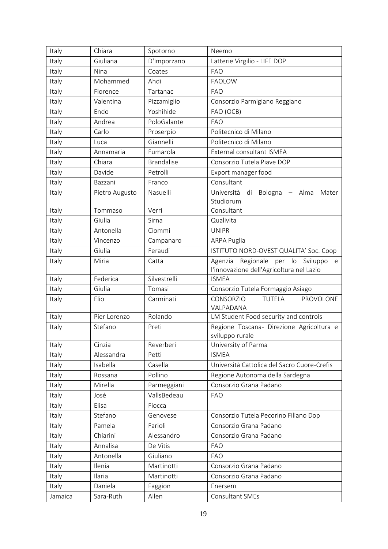| Italy   | Chiara         | Spotorno          | Neemo                                                                              |
|---------|----------------|-------------------|------------------------------------------------------------------------------------|
| Italy   | Giuliana       | D'Imporzano       | Latterie Virgilio - LIFE DOP                                                       |
| Italy   | Nina           | Coates            | <b>FAO</b>                                                                         |
| Italy   | Mohammed       | Ahdi              | <b>FAOLOW</b>                                                                      |
| Italy   | Florence       | Tartanac          | <b>FAO</b>                                                                         |
| Italy   | Valentina      | Pizzamiglio       | Consorzio Parmigiano Reggiano                                                      |
| Italy   | Endo           | Yoshihide         | FAO (OCB)                                                                          |
| Italy   | Andrea         | PoloGalante       | <b>FAO</b>                                                                         |
| Italy   | Carlo          | Proserpio         | Politecnico di Milano                                                              |
| Italy   | Luca           | Giannelli         | Politecnico di Milano                                                              |
| Italy   | Annamaria      | Fumarola          | External consultant ISMEA                                                          |
| Italy   | Chiara         | <b>Brandalise</b> | Consorzio Tutela Piave DOP                                                         |
| Italy   | Davide         | Petrolli          | Export manager food                                                                |
| Italy   | Bazzani        | Franco            | Consultant                                                                         |
| Italy   | Pietro Augusto | Nasuelli          | Università<br>di<br>Bologna - Alma<br>Mater                                        |
|         |                |                   | Studiorum                                                                          |
| Italy   | Tommaso        | Verri             | Consultant                                                                         |
| Italy   | Giulia         | Sirna             | Qualivita                                                                          |
| Italy   | Antonella      | Ciommi            | <b>UNIPR</b>                                                                       |
| Italy   | Vincenzo       | Campanaro         | ARPA Puglia                                                                        |
| Italy   | Giulia         | Feraudi           | ISTITUTO NORD-OVEST QUALITA' Soc. Coop                                             |
| Italy   | Miria          | Catta             | Agenzia Regionale per lo Sviluppo<br>e<br>l'innovazione dell'Agricoltura nel Lazio |
| Italy   | Federica       | Silvestrelli      | <b>ISMEA</b>                                                                       |
| Italy   | Giulia         | Tomasi            | Consorzio Tutela Formaggio Asiago                                                  |
| Italy   | Elio           | Carminati         | <b>CONSORZIO</b><br><b>TUTELA</b><br>PROVOLONE<br>VALPADANA                        |
| Italy   | Pier Lorenzo   | Rolando           | LM Student Food security and controls                                              |
| Italy   | Stefano        | Preti             | Regione Toscana- Direzione Agricoltura e<br>sviluppo rurale                        |
| Italy   | Cinzia         | Reverberi         | University of Parma                                                                |
| Italy   | Alessandra     | Petti             | <b>ISMEA</b>                                                                       |
| Italy   | Isabella       | Casella           | Università Cattolica del Sacro Cuore-Crefis                                        |
| Italy   | Rossana        | Pollino           | Regione Autonoma della Sardegna                                                    |
| Italy   | Mirella        | Parmeggiani       | Consorzio Grana Padano                                                             |
| Italy   | José           | VallsBedeau       | <b>FAO</b>                                                                         |
| Italy   | Elisa          | Fiocca            |                                                                                    |
| Italy   | Stefano        | Genovese          | Consorzio Tutela Pecorino Filiano Dop                                              |
| Italy   | Pamela         | Farioli           | Consorzio Grana Padano                                                             |
| Italy   | Chiarini       | Alessandro        | Consorzio Grana Padano                                                             |
| Italy   | Annalisa       | De Vitis          | <b>FAO</b>                                                                         |
| Italy   | Antonella      | Giuliano          | <b>FAO</b>                                                                         |
| Italy   | Ilenia         | Martinotti        | Consorzio Grana Padano                                                             |
| Italy   | Ilaria         | Martinotti        | Consorzio Grana Padano                                                             |
| Italy   | Daniela        | Faggion           | Enersem                                                                            |
| Jamaica | Sara-Ruth      | Allen             | Consultant SMEs                                                                    |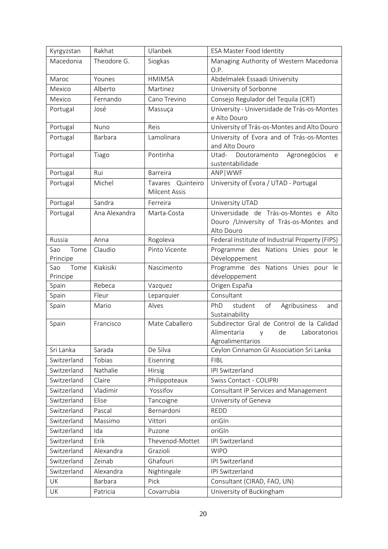| Kyrgyzstan        | Rakhat        | Ulanbek              | <b>ESA Master Food Identity</b>                                |
|-------------------|---------------|----------------------|----------------------------------------------------------------|
| Macedonia         | Theodore G.   | Siogkas              | Managing Authority of Western Macedonia                        |
|                   |               |                      | O.P.                                                           |
| Maroc             | Younes        | <b>HMIMSA</b>        | Abdelmalek Essaadi University                                  |
| Mexico            | Alberto       | Martinez             | University of Sorbonne                                         |
| Mexico            | Fernando      | Cano Trevino         | Consejo Regulador del Tequila (CRT)                            |
| Portugal          | José          | Massuça              | University - Universidade de Trás-os-Montes                    |
|                   |               |                      | e Alto Douro                                                   |
| Portugal          | Nuno          | Reis                 | University of Trás-os-Montes and Alto Douro                    |
| Portugal          | Barbara       | Lamolinara           | University of Evora and of Trás-os-Montes                      |
|                   |               |                      | and Alto Douro                                                 |
| Portugal          | Tiago         | Pontinha             | Utad-<br>Doutoramento<br>Agronegócios<br>e<br>sustentabilidade |
| Portugal          | Rui           | <b>Barreira</b>      | ANP   WWF                                                      |
| Portugal          | Michel        | Quinteiro<br>Tavares | University of Évora / UTAD - Portugal                          |
|                   |               | <b>Milcent Assis</b> |                                                                |
| Portugal          | Sandra        | Ferreira             | University UTAD                                                |
| Portugal          | Ana Alexandra | Marta-Costa          | Universidade de Trás-os-Montes e Alto                          |
|                   |               |                      | Douro /University of Trás-os-Montes and                        |
|                   |               |                      | Alto Douro                                                     |
| Russia            | Anna          | Rogoleva             | Federal Institute of Industrial Property (FIPS)                |
| Tome<br>Sao       | Claudio       | Pinto Vicente        | Programme des Nations Unies pour le                            |
| Principe          |               |                      | Développement                                                  |
| Tome<br>Sao       | Kiakisiki     | Nascimento           | Programme des Nations Unies pour le                            |
| Principe<br>Spain | Rebeca        | Vazquez              | développement<br>Origen España                                 |
| Spain             | Fleur         | Leparquier           | Consultant                                                     |
| Spain             | Mario         | Alves                | of<br>Agribusiness<br>PhD<br>student<br>and                    |
|                   |               |                      | Sustainability                                                 |
| Spain             | Francisco     | Mate Caballero       | Subdirector Gral de Control de la Calidad                      |
|                   |               |                      | Alimentaria<br>de<br>Laboratorios<br>y                         |
|                   |               |                      | Agroalimentarios                                               |
| Sri Lanka         | Sarada        | De Silva             | Ceylon Cinnamon GI Association Sri Lanka                       |
| Switzerland       | Tobias        | Eisenring            | <b>FIBL</b>                                                    |
| Switzerland       | Nathalie      | Hirsig               | IPI Switzerland                                                |
| Switzerland       | Claire        | Philippoteaux        | Swiss Contact - COLIPRI                                        |
| Switzerland       | Vladimir      | Yossifov             | Consultant IP Services and Management                          |
| Switzerland       | Elise         | Tancoigne            | University of Geneva                                           |
| Switzerland       | Pascal        | Bernardoni           | <b>REDD</b>                                                    |
| Switzerland       | Massimo       | Vittori              | oriGIn                                                         |
| Switzerland       | Ida           | Puzone               | oriGIn                                                         |
| Switzerland       | Erik          | Thevenod-Mottet      | IPI Switzerland                                                |
| Switzerland       | Alexandra     | Grazioli             | <b>WIPO</b>                                                    |
| Switzerland       | Zeinab        | Ghafouri             | IPI Switzerland                                                |
| Switzerland       | Alexandra     | Nightingale          | IPI Switzerland                                                |
| UK                | Barbara       | Pick                 | Consultant (CIRAD, FAO, UN)                                    |
| UK                | Patricia      | Covarrubia           | University of Buckingham                                       |
|                   |               |                      |                                                                |